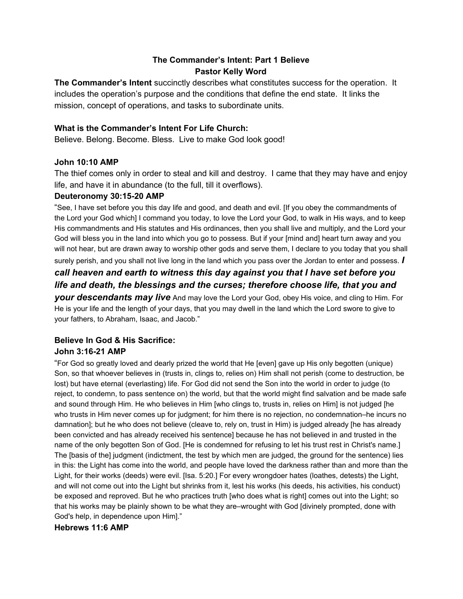# **The Commander's Intent: Part 1 Believe Pastor Kelly Word**

The **Commander's Intent** succinctly describes what constitutes success for the operation. It includes the operation's purpose and the conditions that define the end state. It links the mission, concept of operations, and tasks to subordinate units.

### **What is the Commander's Intent For Life Church:**

Believe. Belong. Become. Bless. Live to make God look good!

### **John 10:10 AMP**

The thief comes only in order to steal and kill and destroy. I came that they may have and enjoy life, and have it in abundance (to the full, till it overflows).

### **Deuteronomy 30:1520 AMP**

"See, I have set before you this day life and good, and death and evil. [If you obey the commandments of the Lord your God which] I command you today, to love the Lord your God, to walk in His ways, and to keep His commandments and His statutes and His ordinances, then you shall live and multiply, and the Lord your God will bless you in the land into which you go to possess. But if your [mind and] heart turn away and you will not hear, but are drawn away to worship other gods and serve them, I declare to you today that you shall surely perish, and you shall not live long in the land which you pass over the Jordan to enter and possess. *I*

# *call heaven and earth to witness this day against you that I have set before you life and death, the blessings and the curses; therefore choose life, that you and*

**your descendants may live** And may love the Lord your God, obey His voice, and cling to Him. For He is your life and the length of your days, that you may dwell in the land which the Lord swore to give to your fathers, to Abraham, Isaac, and Jacob."

## **Believe In God & His Sacrifice: John 3:1621 AMP**

"For God so greatly loved and dearly prized the world that He [even] gave up His only begotten (unique) Son, so that whoever believes in (trusts in, clings to, relies on) Him shall not perish (come to destruction, be lost) but have eternal (everlasting) life. For God did not send the Son into the world in order to judge (to reject, to condemn, to pass sentence on) the world, but that the world might find salvation and be made safe and sound through Him. He who believes in Him [who clings to, trusts in, relies on Him] is not judged [he who trusts in Him never comes up for judgment; for him there is no rejection, no condemnation–he incurs no damnation]; but he who does not believe (cleave to, rely on, trust in Him) is judged already [he has already been convicted and has already received his sentence] because he has not believed in and trusted in the name of the only begotten Son of God. [He is condemned for refusing to let his trust rest in Christ's name.] The [basis of the] judgment (indictment, the test by which men are judged, the ground for the sentence) lies in this: the Light has come into the world, and people have loved the darkness rather than and more than the Light, for their works (deeds) were evil. [Isa. 5:20.] For every wrongdoer hates (loathes, detests) the Light, and will not come out into the Light but shrinks from it, lest his works (his deeds, his activities, his conduct) be exposed and reproved. But he who practices truth [who does what is right] comes out into the Light; so that his works may be plainly shown to be what they are–wrought with God [divinely prompted, done with God's help, in dependence upon Him]."

### **Hebrews 11:6 AMP**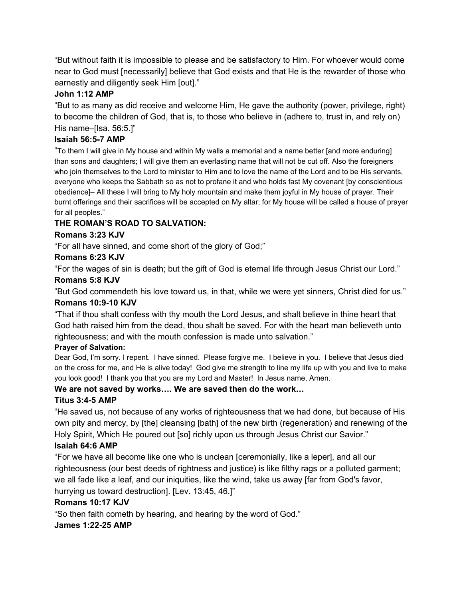"But without faith it is impossible to please and be satisfactory to Him. For whoever would come near to God must [necessarily] believe that God exists and that He is the rewarder of those who earnestly and diligently seek Him [out]."

## **John 1:12 AMP**

"But to as many as did receive and welcome Him, He gave the authority (power, privilege, right) to become the children of God, that is, to those who believe in (adhere to, trust in, and rely on) His name–[Isa. 56:5.]"

## **Isaiah 56:57 AMP**

"To them I will give in My house and within My walls a memorial and a name better [and more enduring] than sons and daughters; I will give them an everlasting name that will not be cut off. Also the foreigners who join themselves to the Lord to minister to Him and to love the name of the Lord and to be His servants, everyone who keeps the Sabbath so as not to profane it and who holds fast My covenant [by conscientious obedience]– All these I will bring to My holy mountain and make them joyful in My house of prayer. Their burnt offerings and their sacrifices will be accepted on My altar; for My house will be called a house of prayer for all peoples."

# **THE ROMAN'S ROAD TO SALVATION:**

# **Romans 3:23 KJV**

"For all have sinned, and come short of the glory of God;"

# **Romans 6:23 KJV**

"For the wages of sin is death; but the gift of God is eternal life through Jesus Christ our Lord."

## **Romans 5:8 KJV**

"But God commendeth his love toward us, in that, while we were yet sinners, Christ died for us." **Romans 10:910 KJV**

"That if thou shalt confess with thy mouth the Lord Jesus, and shalt believe in thine heart that God hath raised him from the dead, thou shalt be saved. For with the heart man believeth unto righteousness; and with the mouth confession is made unto salvation."

# **Prayer of Salvation:**

Dear God, I'm sorry. I repent. I have sinned. Please forgive me. I believe in you. I believe that Jesus died on the cross for me, and He is alive today! God give me strength to line my life up with you and live to make you look good! I thank you that you are my Lord and Master! In Jesus name, Amen.

# **We are not saved by works…. We are saved then do the work…**

# **Titus 3:45 AMP**

"He saved us, not because of any works of righteousness that we had done, but because of His own pity and mercy, by [the] cleansing [bath] of the new birth (regeneration) and renewing of the Holy Spirit, Which He poured out [so] richly upon us through Jesus Christ our Savior."

# **Isaiah 64:6 AMP**

"For we have all become like one who is unclean [ceremonially, like a leper], and all our righteousness (our best deeds of rightness and justice) is like filthy rags or a polluted garment; we all fade like a leaf, and our iniquities, like the wind, take us away [far from God's favor, hurrying us toward destruction]. [Lev. 13:45, 46.]"

## **Romans 10:17 KJV**

"So then faith cometh by hearing, and hearing by the word of God."

## **James 1:2225 AMP**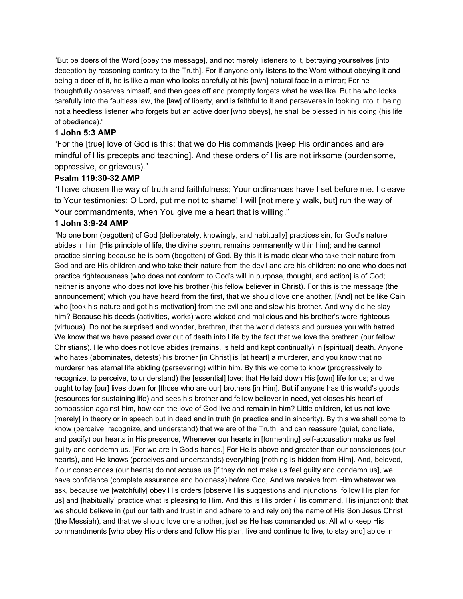"But be doers of the Word [obey the message], and not merely listeners to it, betraying yourselves [into deception by reasoning contrary to the Truth]. For if anyone only listens to the Word without obeying it and being a doer of it, he is like a man who looks carefully at his [own] natural face in a mirror; For he thoughtfully observes himself, and then goes off and promptly forgets what he was like. But he who looks carefully into the faultless law, the [law] of liberty, and is faithful to it and perseveres in looking into it, being not a heedless listener who forgets but an active doer [who obeys], he shall be blessed in his doing (his life of obedience)."

### **1 John 5:3 AMP**

"For the [true] love of God is this: that we do His commands [keep His ordinances and are mindful of His precepts and teaching]. And these orders of His are not irksome (burdensome, oppressive, or grievous)."

### **Psalm 119:30-32 AMP**

"I have chosen the way of truth and faithfulness; Your ordinances have I set before me. I cleave to Your testimonies; O Lord, put me not to shame! I will [not merely walk, but] run the way of Your commandments, when You give me a heart that is willing."

### **1 John 3:924 AMP**

"No one born (begotten) of God [deliberately, knowingly, and habitually] practices sin, for God's nature abides in him [His principle of life, the divine sperm, remains permanently within him]; and he cannot practice sinning because he is born (begotten) of God. By this it is made clear who take their nature from God and are His children and who take their nature from the devil and are his children: no one who does not practice righteousness [who does not conform to God's will in purpose, thought, and action] is of God; neither is anyone who does not love his brother (his fellow believer in Christ). For this is the message (the announcement) which you have heard from the first, that we should love one another, [And] not be like Cain who [took his nature and got his motivation] from the evil one and slew his brother. And why did he slay him? Because his deeds (activities, works) were wicked and malicious and his brother's were righteous (virtuous). Do not be surprised and wonder, brethren, that the world detests and pursues you with hatred. We know that we have passed over out of death into Life by the fact that we love the brethren (our fellow Christians). He who does not love abides (remains, is held and kept continually) in [spiritual] death. Anyone who hates (abominates, detests) his brother [in Christ] is [at heart] a murderer, and you know that no murderer has eternal life abiding (persevering) within him. By this we come to know (progressively to recognize, to perceive, to understand) the [essential] love: that He laid down His [own] life for us; and we ought to lay [our] lives down for [those who are our] brothers [in Him]. But if anyone has this world's goods (resources for sustaining life) and sees his brother and fellow believer in need, yet closes his heart of compassion against him, how can the love of God live and remain in him? Little children, let us not love [merely] in theory or in speech but in deed and in truth (in practice and in sincerity). By this we shall come to know (perceive, recognize, and understand) that we are of the Truth, and can reassure (quiet, conciliate, and pacify) our hearts in His presence, Whenever our hearts in [tormenting] self-accusation make us feel guilty and condemn us. [For we are in God's hands.] For He is above and greater than our consciences (our hearts), and He knows (perceives and understands) everything [nothing is hidden from Him]. And, beloved, if our consciences (our hearts) do not accuse us [if they do not make us feel guilty and condemn us], we have confidence (complete assurance and boldness) before God, And we receive from Him whatever we ask, because we [watchfully] obey His orders [observe His suggestions and injunctions, follow His plan for us] and [habitually] practice what is pleasing to Him. And this is His order (His command, His injunction): that we should believe in (put our faith and trust in and adhere to and rely on) the name of His Son Jesus Christ (the Messiah), and that we should love one another, just as He has commanded us. All who keep His commandments [who obey His orders and follow His plan, live and continue to live, to stay and] abide in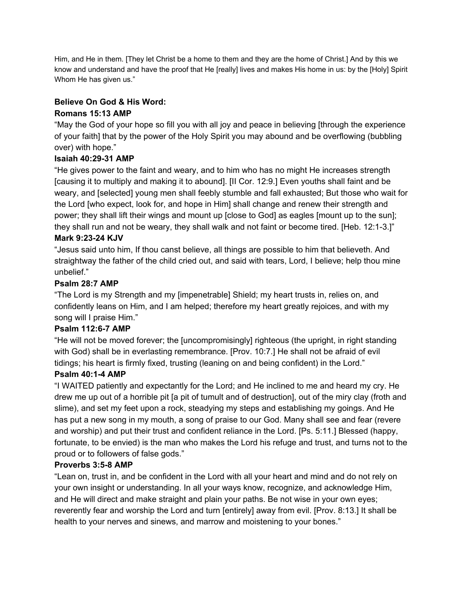Him, and He in them. [They let Christ be a home to them and they are the home of Christ.] And by this we know and understand and have the proof that He [really] lives and makes His home in us: by the [Holy] Spirit Whom He has given us."

## **Believe On God & His Word:**

## **Romans 15:13 AMP**

"May the God of your hope so fill you with all joy and peace in believing [through the experience of your faith] that by the power of the Holy Spirit you may abound and be overflowing (bubbling over) with hope."

# **Isaiah 40:2931 AMP**

"He gives power to the faint and weary, and to him who has no might He increases strength [causing it to multiply and making it to abound]. [II Cor. 12:9.] Even youths shall faint and be weary, and [selected] young men shall feebly stumble and fall exhausted; But those who wait for the Lord [who expect, look for, and hope in Him] shall change and renew their strength and power; they shall lift their wings and mount up [close to God] as eagles [mount up to the sun]; they shall run and not be weary, they shall walk and not faint or become tired. [Heb. 12:1-3.]" **Mark 9:2324 KJV**

"Jesus said unto him, If thou canst believe, all things are possible to him that believeth. And straightway the father of the child cried out, and said with tears, Lord, I believe; help thou mine unbelief."

# **Psalm 28:7 AMP**

"The Lord is my Strength and my [impenetrable] Shield; my heart trusts in, relies on, and confidently leans on Him, and I am helped; therefore my heart greatly rejoices, and with my song will I praise Him."

## **Psalm 112:67 AMP**

"He will not be moved forever; the [uncompromisingly] righteous (the upright, in right standing with God) shall be in everlasting remembrance. [Prov. 10:7.] He shall not be afraid of evil tidings; his heart is firmly fixed, trusting (leaning on and being confident) in the Lord."

# **Psalm 40:14 AMP**

"I WAITED patiently and expectantly for the Lord; and He inclined to me and heard my cry. He drew me up out of a horrible pit [a pit of tumult and of destruction], out of the miry clay (froth and slime), and set my feet upon a rock, steadying my steps and establishing my goings. And He has put a new song in my mouth, a song of praise to our God. Many shall see and fear (revere and worship) and put their trust and confident reliance in the Lord. [Ps. 5:11.] Blessed (happy, fortunate, to be envied) is the man who makes the Lord his refuge and trust, and turns not to the proud or to followers of false gods."

## **Proverbs 3:58 AMP**

"Lean on, trust in, and be confident in the Lord with all your heart and mind and do not rely on your own insight or understanding. In all your ways know, recognize, and acknowledge Him, and He will direct and make straight and plain your paths. Be not wise in your own eyes; reverently fear and worship the Lord and turn [entirely] away from evil. [Prov. 8:13.] It shall be health to your nerves and sinews, and marrow and moistening to your bones."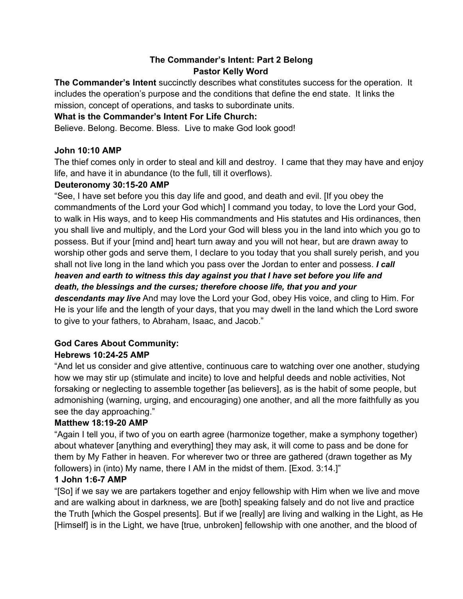# **The Commander's Intent: Part 2 Belong Pastor Kelly Word**

The Commander's Intent succinctly describes what constitutes success for the operation. It includes the operation's purpose and the conditions that define the end state. It links the mission, concept of operations, and tasks to subordinate units.

# **What is the Commander's Intent For Life Church:**

Believe. Belong. Become. Bless. Live to make God look good!

# **John 10:10 AMP**

The thief comes only in order to steal and kill and destroy. I came that they may have and enjoy life, and have it in abundance (to the full, till it overflows).

# **Deuteronomy 30:1520 AMP**

"See, I have set before you this day life and good, and death and evil. [If you obey the commandments of the Lord your God which] I command you today, to love the Lord your God, to walk in His ways, and to keep His commandments and His statutes and His ordinances, then you shall live and multiply, and the Lord your God will bless you in the land into which you go to possess. But if your [mind and] heart turn away and you will not hear, but are drawn away to worship other gods and serve them, I declare to you today that you shall surely perish, and you shall not live long in the land which you pass over the Jordan to enter and possess. *I call heaven and earth to witness this day against you that I have set before you life and death, the blessings and the curses; therefore choose life, that you and your* **descendants may live** And may love the Lord your God, obey His voice, and cling to Him. For

He is your life and the length of your days, that you may dwell in the land which the Lord swore to give to your fathers, to Abraham, Isaac, and Jacob."

# **God Cares About Community:**

# **Hebrews 10:2425 AMP**

"And let us consider and give attentive, continuous care to watching over one another, studying how we may stir up (stimulate and incite) to love and helpful deeds and noble activities, Not forsaking or neglecting to assemble together [as believers], as is the habit of some people, but admonishing (warning, urging, and encouraging) one another, and all the more faithfully as you see the day approaching."

# **Matthew 18:1920 AMP**

"Again I tell you, if two of you on earth agree (harmonize together, make a symphony together) about whatever [anything and everything] they may ask, it will come to pass and be done for them by My Father in heaven. For wherever two or three are gathered (drawn together as My followers) in (into) My name, there I AM in the midst of them. [Exod. 3:14.]"

# **1 John 1:67 AMP**

"[So] if we say we are partakers together and enjoy fellowship with Him when we live and move and are walking about in darkness, we are [both] speaking falsely and do not live and practice the Truth [which the Gospel presents]. But if we [really] are living and walking in the Light, as He [Himself] is in the Light, we have [true, unbroken] fellowship with one another, and the blood of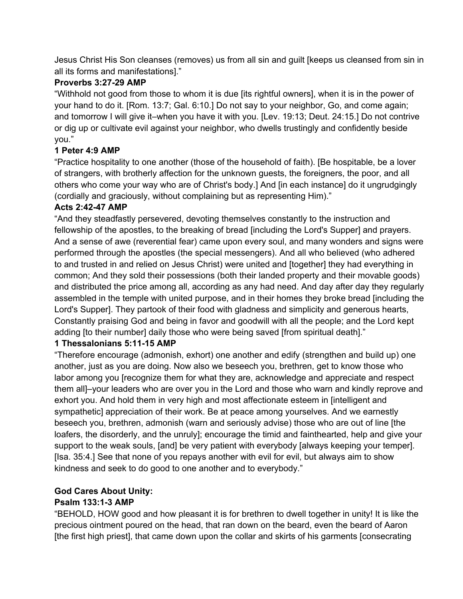Jesus Christ His Son cleanses (removes) us from all sin and guilt [keeps us cleansed from sin in all its forms and manifestations]."

# **Proverbs 3:27-29 AMP**

"Withhold not good from those to whom it is due [its rightful owners], when it is in the power of your hand to do it. [Rom. 13:7; Gal. 6:10.] Do not say to your neighbor, Go, and come again; and tomorrow I will give it–when you have it with you. [Lev. 19:13; Deut. 24:15.] Do not contrive or dig up or cultivate evil against your neighbor, who dwells trustingly and confidently beside you."

# **1 Peter 4:9 AMP**

"Practice hospitality to one another (those of the household of faith). [Be hospitable, be a lover of strangers, with brotherly affection for the unknown guests, the foreigners, the poor, and all others who come your way who are of Christ's body.] And [in each instance] do it ungrudgingly (cordially and graciously, without complaining but as representing Him)."

# **Acts 2:4247 AMP**

"And they steadfastly persevered, devoting themselves constantly to the instruction and fellowship of the apostles, to the breaking of bread [including the Lord's Supper] and prayers. And a sense of awe (reverential fear) came upon every soul, and many wonders and signs were performed through the apostles (the special messengers). And all who believed (who adhered to and trusted in and relied on Jesus Christ) were united and [together] they had everything in common; And they sold their possessions (both their landed property and their movable goods) and distributed the price among all, according as any had need. And day after day they regularly assembled in the temple with united purpose, and in their homes they broke bread [including the Lord's Supper]. They partook of their food with gladness and simplicity and generous hearts, Constantly praising God and being in favor and goodwill with all the people; and the Lord kept adding [to their number] daily those who were being saved [from spiritual death]."

## **1 Thessalonians 5:1115 AMP**

"Therefore encourage (admonish, exhort) one another and edify (strengthen and build up) one another, just as you are doing. Now also we beseech you, brethren, get to know those who labor among you [recognize them for what they are, acknowledge and appreciate and respect them all]–your leaders who are over you in the Lord and those who warn and kindly reprove and exhort you. And hold them in very high and most affectionate esteem in [intelligent and sympathetic] appreciation of their work. Be at peace among yourselves. And we earnestly beseech you, brethren, admonish (warn and seriously advise) those who are out of line [the loafers, the disorderly, and the unruly]; encourage the timid and fainthearted, help and give your support to the weak souls, [and] be very patient with everybody [always keeping your temper]. [Isa. 35:4.] See that none of you repays another with evil for evil, but always aim to show kindness and seek to do good to one another and to everybody."

# **God Cares About Unity:**

# **Psalm 133:13 AMP**

"BEHOLD, HOW good and how pleasant it is for brethren to dwell together in unity! It is like the precious ointment poured on the head, that ran down on the beard, even the beard of Aaron [the first high priest], that came down upon the collar and skirts of his garments [consecrating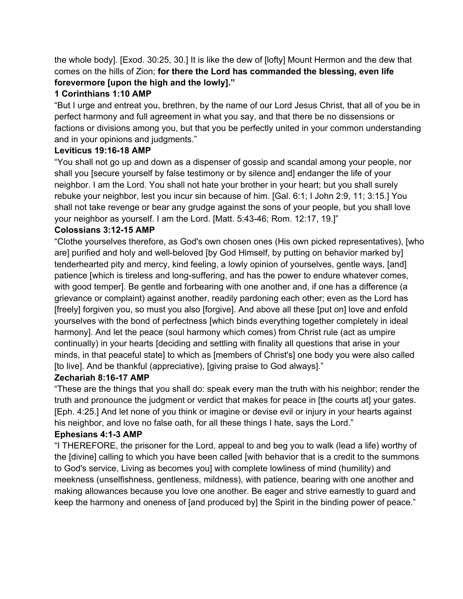the whole body]. [Exod. 30:25, 30.] It is like the dew of [lofty] Mount Hermon and the dew that comes on the hills of Zion; **for there the Lord has commanded the blessing, even life forevermore [upon the high and the lowly]."**

# **1 Corinthians 1:10 AMP**

"But I urge and entreat you, brethren, by the name of our Lord Jesus Christ, that all of you be in perfect harmony and full agreement in what you say, and that there be no dissensions or factions or divisions among you, but that you be perfectly united in your common understanding and in your opinions and judgments."

## **Leviticus 19:16-18 AMP**

"You shall not go up and down as a dispenser of gossip and scandal among your people, nor shall you [secure yourself by false testimony or by silence and] endanger the life of your neighbor. I am the Lord. You shall not hate your brother in your heart; but you shall surely rebuke your neighbor, lest you incur sin because of him. [Gal. 6:1; I John 2:9, 11; 3:15.] You shall not take revenge or bear any grudge against the sons of your people, but you shall love your neighbor as yourself. I am the Lord. [Matt. 5:4346; Rom. 12:17, 19.]"

## **Colossians 3:1215 AMP**

"Clothe yourselves therefore, as God's own chosen ones (His own picked representatives), [who are] purified and holy and well-beloved [by God Himself, by putting on behavior marked by] tenderhearted pity and mercy, kind feeling, a lowly opinion of yourselves, gentle ways, [and] patience [which is tireless and long-suffering, and has the power to endure whatever comes, with good temper]. Be gentle and forbearing with one another and, if one has a difference (a grievance or complaint) against another, readily pardoning each other; even as the Lord has [freely] forgiven you, so must you also [forgive]. And above all these [put on] love and enfold yourselves with the bond of perfectness [which binds everything together completely in ideal harmony]. And let the peace (soul harmony which comes) from Christ rule (act as umpire continually) in your hearts [deciding and settling with finality all questions that arise in your minds, in that peaceful state] to which as [members of Christ's] one body you were also called [to live]. And be thankful (appreciative), [giving praise to God always]."

# **Zechariah 8:1617 AMP**

"These are the things that you shall do: speak every man the truth with his neighbor; render the truth and pronounce the judgment or verdict that makes for peace in [the courts at] your gates. [Eph. 4:25.] And let none of you think or imagine or devise evil or injury in your hearts against his neighbor, and love no false oath, for all these things I hate, says the Lord."

# **Ephesians 4:13 AMP**

"I THEREFORE, the prisoner for the Lord, appeal to and beg you to walk (lead a life) worthy of the [divine] calling to which you have been called [with behavior that is a credit to the summons to God's service, Living as becomes you] with complete lowliness of mind (humility) and meekness (unselfishness, gentleness, mildness), with patience, bearing with one another and making allowances because you love one another. Be eager and strive earnestly to guard and keep the harmony and oneness of [and produced by] the Spirit in the binding power of peace."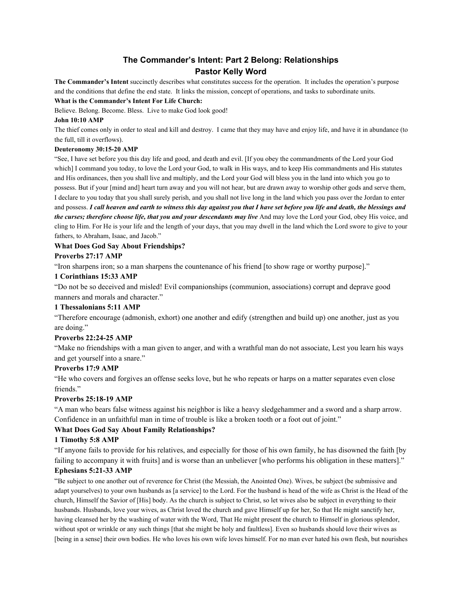## **The Commander's Intent: Part 2 Belong: Relationships Pastor Kelly Word**

**The Commander's Intent**succinctly describes what constitutes success for the operation. It includes the operation's purpose and the conditions that define the end state. It links the mission, concept of operations, and tasks to subordinate units.

### **What is the Commander's Intent For Life Church:**

Believe. Belong. Become. Bless. Live to make God look good!

### **John 10:10 AMP**

The thief comes only in order to steal and kill and destroy. I came that they may have and enjoy life, and have it in abundance (to the full, till it overflows).

### **Deuteronomy 30:1520 AMP**

"See, I have set before you this day life and good, and death and evil. [If you obey the commandments of the Lord your God which] I command you today, to love the Lord your God, to walk in His ways, and to keep His commandments and His statutes and His ordinances, then you shall live and multiply, and the Lord your God will bless you in the land into which you go to possess. But if your [mind and] heart turn away and you will not hear, but are drawn away to worship other gods and serve them, I declare to you today that you shall surely perish, and you shall not live long in the land which you pass over the Jordan to enter and possess. I call heaven and earth to witness this day against you that I have set before you life and death, the blessings and *the curses; therefore choose life, that you and your descendants may live*And may love the Lord your God, obey His voice, and cling to Him. For He is your life and the length of your days, that you may dwell in the land which the Lord swore to give to your fathers, to Abraham, Isaac, and Jacob."

### **What Does God Say About Friendships?**

### **Proverbs 27:17 AMP**

"Iron sharpens iron; so a man sharpens the countenance of his friend [to show rage or worthy purpose]."

### **1 Corinthians 15:33 AMP**

"Do not be so deceived and misled! Evil companionships (communion, associations) corrupt and deprave good manners and morals and character."

### **1 Thessalonians 5:11 AMP**

"Therefore encourage (admonish, exhort) one another and edify (strengthen and build up) one another, just as you are doing."

### **Proverbs 22:2425 AMP**

"Make no friendships with a man given to anger, and with a wrathful man do not associate, Lest you learn his ways and get yourself into a snare."

### **Proverbs 17:9 AMP**

"He who covers and forgives an offense seeks love, but he who repeats or harps on a matter separates even close friends<sup>"</sup>

### **Proverbs 25:1819 AMP**

"A man who bears false witness against his neighbor is like a heavy sledgehammer and a sword and a sharp arrow. Confidence in an unfaithful man in time of trouble is like a broken tooth or a foot out of joint."

### **What Does God Say About Family Relationships?**

### **1 Timothy 5:8 AMP**

"If anyone fails to provide for his relatives, and especially for those of his own family, he has disowned the faith [by failing to accompany it with fruits] and is worse than an unbeliever [who performs his obligation in these matters]." **Ephesians 5:2133 AMP**

"Be subject to one another out of reverence for Christ (the Messiah, the Anointed One). Wives, be subject (be submissive and adapt yourselves) to your own husbands as [a service] to the Lord. For the husband is head of the wife as Christ is the Head of the church, Himself the Savior of [His] body. As the church is subject to Christ, so let wives also be subject in everything to their husbands. Husbands, love your wives, as Christ loved the church and gave Himself up for her, So that He might sanctify her, having cleansed her by the washing of water with the Word, That He might present the church to Himself in glorious splendor, without spot or wrinkle or any such things [that she might be holy and faultless]. Even so husbands should love their wives as [being in a sense] their own bodies. He who loves his own wife loves himself. For no man ever hated his own flesh, but nourishes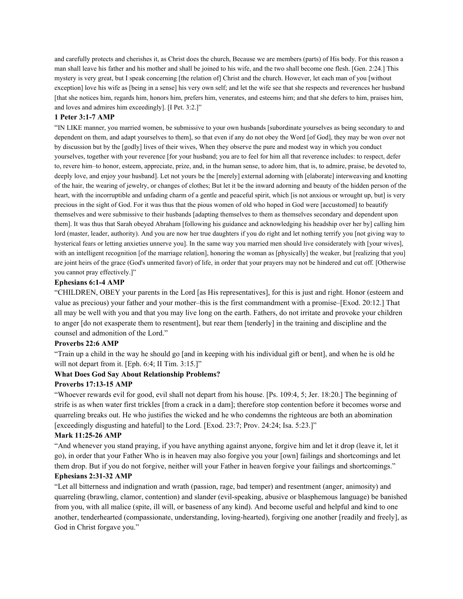and carefully protects and cherishes it, as Christ does the church, Because we are members (parts) of His body. For this reason a man shall leave his father and his mother and shall be joined to his wife, and the two shall become one flesh. [Gen. 2:24.] This mystery is very great, but I speak concerning [the relation of] Christ and the church. However, let each man of you [without exception] love his wife as [being in a sense] his very own self; and let the wife see that she respects and reverences her husband [that she notices him, regards him, honors him, prefers him, venerates, and esteems him; and that she defers to him, praises him, and loves and admires him exceedingly]. [I Pet. 3:2.]"

### **1 Peter 3:17 AMP**

"IN LIKE manner, you married women, be submissive to your own husbands [subordinate yourselves as being secondary to and dependent on them, and adapt yourselves to them], so that even if any do not obey the Word [of God], they may be won over not by discussion but by the [godly] lives of their wives, When they observe the pure and modest way in which you conduct yourselves, together with your reverence [for your husband; you are to feel for him all that reverence includes: to respect, defer to, revere him–to honor, esteem, appreciate, prize, and, in the human sense, to adore him, that is, to admire, praise, be devoted to, deeply love, and enjoy your husband]. Let not yours be the [merely] external adorning with [elaborate] interweaving and knotting of the hair, the wearing of jewelry, or changes of clothes; But let it be the inward adorning and beauty of the hidden person of the heart, with the incorruptible and unfading charm of a gentle and peaceful spirit, which [is not anxious or wrought up, but] is very precious in the sight of God. For it was thus that the pious women of old who hoped in God were [accustomed] to beautify themselves and were submissive to their husbands [adapting themselves to them as themselves secondary and dependent upon them]. It was thus that Sarah obeyed Abraham [following his guidance and acknowledging his headship over her by] calling him lord (master, leader, authority). And you are now her true daughters if you do right and let nothing terrify you [not giving way to hysterical fears or letting anxieties unnerve you]. In the same way you married men should live considerately with [your wives], with an intelligent recognition [of the marriage relation], honoring the woman as [physically] the weaker, but [realizing that you] are joint heirs of the grace (God's unmerited favor) of life, in order that your prayers may not be hindered and cut off. [Otherwise you cannot pray effectively.]"

### **Ephesians 6:14 AMP**

"CHILDREN, OBEY your parents in the Lord [as His representatives], for this is just and right. Honor (esteem and value as precious) your father and your mother–this is the first commandment with a promise–[Exod. 20:12.] That all may be well with you and that you may live long on the earth. Fathers, do not irritate and provoke your children to anger [do not exasperate them to resentment], but rear them [tenderly] in the training and discipline and the counsel and admonition of the Lord."

#### **Proverbs 22:6 AMP**

"Train up a child in the way he should go [and in keeping with his individual gift or bent], and when he is old he will not depart from it. [Eph. 6:4; II Tim. 3:15.]"

### **What Does God Say About Relationship Problems?**

### **Proverbs 17:13-15 AMP**

"Whoever rewards evil for good, evil shall not depart from his house. [Ps. 109:4, 5; Jer. 18:20.] The beginning of strife is as when water first trickles [from a crack in a dam]; therefore stop contention before it becomes worse and quarreling breaks out. He who justifies the wicked and he who condemns the righteous are both an abomination [exceedingly disgusting and hateful] to the Lord. [Exod. 23:7; Prov. 24:24; Isa. 5:23.]"

#### **Mark 11:2526 AMP**

"And whenever you stand praying, if you have anything against anyone, forgive him and let it drop (leave it, let it go), in order that your Father Who is in heaven may also forgive you your [own] failings and shortcomings and let them drop. But if you do not forgive, neither will your Father in heaven forgive your failings and shortcomings." **Ephesians 2:3132 AMP**

"Let all bitterness and indignation and wrath (passion, rage, bad temper) and resentment (anger, animosity) and quarreling (brawling, clamor, contention) and slander (evilspeaking, abusive or blasphemous language) be banished from you, with all malice (spite, ill will, or baseness of any kind). And become useful and helpful and kind to one another, tenderhearted (compassionate, understanding, loving-hearted), forgiving one another [readily and freely], as God in Christ forgave you."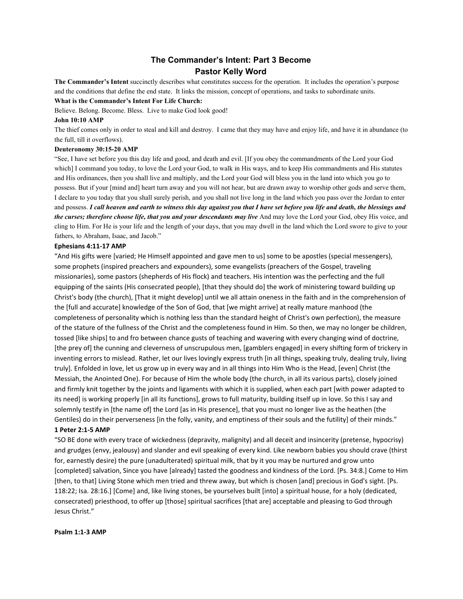## **The Commander's Intent: Part 3 Become Pastor Kelly Word**

**The Commander's Intent**succinctly describes what constitutes success for the operation. It includes the operation's purpose and the conditions that define the end state. It links the mission, concept of operations, and tasks to subordinate units.

### **What is the Commander's Intent For Life Church:**

Believe. Belong. Become. Bless. Live to make God look good!

### **John 10:10 AMP**

The thief comes only in order to steal and kill and destroy. I came that they may have and enjoy life, and have it in abundance (to the full, till it overflows).

### **Deuteronomy 30:1520 AMP**

"See, I have set before you this day life and good, and death and evil. [If you obey the commandments of the Lord your God which] I command you today, to love the Lord your God, to walk in His ways, and to keep His commandments and His statutes and His ordinances, then you shall live and multiply, and the Lord your God will bless you in the land into which you go to possess. But if your [mind and] heart turn away and you will not hear, but are drawn away to worship other gods and serve them, I declare to you today that you shall surely perish, and you shall not live long in the land which you pass over the Jordan to enter and possess. I call heaven and earth to witness this day against you that I have set before you life and death, the blessings and *the curses; therefore choose life, that you and your descendants may live*And may love the Lord your God, obey His voice, and cling to Him. For He is your life and the length of your days, that you may dwell in the land which the Lord swore to give to your fathers, to Abraham, Isaac, and Jacob."

### Ephesians 4:11-17 AMP

"And His gifts were [varied; He Himself appointed and gave men to us] some to be apostles (special messengers), some prophets (inspired preachers and expounders), some evangelists (preachers of the Gospel, traveling missionaries), some pastors (shepherds of His flock) and teachers. His intention was the perfecting and the full equipping of the saints (His consecrated people), [that they should do] the work of ministering toward building up Christ's body (the church), [That it might develop] until we all attain oneness in the faith and in the comprehension of the [full and accurate] knowledge of the Son of God, that [we might arrive] at really mature manhood (the completeness of personality which is nothing less than the standard height of Christ's own perfection), the measure of the stature of the fullness of the Christ and the completeness found in Him. So then, we may no longer be children, tossed [like ships] to and fro between chance gusts of teaching and wavering with every changing wind of doctrine, [the prey of] the cunning and cleverness of unscrupulous men, [gamblers engaged] in every shifting form of trickery in inventing errors to mislead. Rather, let our lives lovingly express truth [in all things, speaking truly, dealing truly, living truly]. Enfolded in love, let us grow up in every way and in all things into Him Who is the Head, [even] Christ (the Messiah, the Anointed One). For because of Him the whole body (the church, in all its various parts), closely joined and firmly knit together by the joints and ligaments with which it is supplied, when each part [with power adapted to its need] is working properly [in all its functions], grows to full maturity, building itself up in love. So this I say and solemnly testify in [the name of] the Lord [as in His presence], that you must no longer live as the heathen (the Gentiles) do in their perverseness [in the folly, vanity, and emptiness of their souls and the futility] of their minds."

### **1 Peter 2:15 AMP**

"SO BE done with every trace of wickedness (depravity, malignity) and all deceit and insincerity (pretense, hypocrisy) and grudges (envy, jealousy) and slander and evil speaking of every kind. Like newborn babies you should crave (thirst for, earnestly desire) the pure (unadulterated) spiritual milk, that by it you may be nurtured and grow unto [completed] salvation, Since you have [already] tasted the goodness and kindness of the Lord. [Ps. 34:8.] Come to Him [then, to that] Living Stone which men tried and threw away, but which is chosen [and] precious in God's sight. [Ps. 118:22; Isa. 28:16.] [Come] and, like living stones, be yourselves built [into] a spiritual house, for a holy (dedicated, consecrated) priesthood, to offer up [those] spiritual sacrifices [that are] acceptable and pleasing to God through Jesus Christ."

#### **Psalm 1:13 AMP**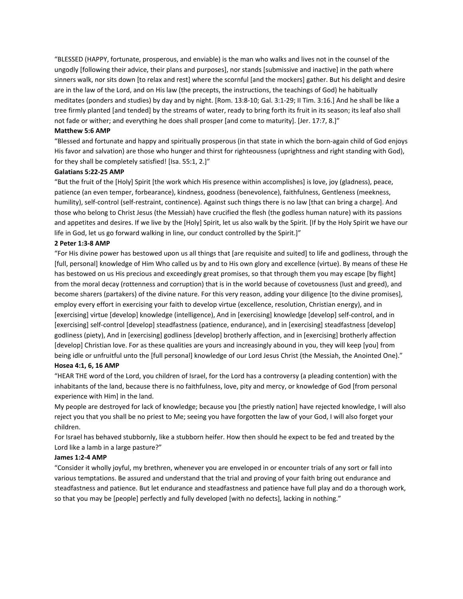"BLESSED (HAPPY, fortunate, prosperous, and enviable) is the man who walks and lives not in the counsel of the ungodly [following their advice, their plans and purposes], nor stands [submissive and inactive] in the path where sinners walk, nor sits down [to relax and rest] where the scornful [and the mockers] gather. But his delight and desire are in the law of the Lord, and on His law (the precepts, the instructions, the teachings of God) he habitually meditates (ponders and studies) by day and by night. [Rom. 13:810; Gal. 3:129; II Tim. 3:16.] And he shall be like a tree firmly planted [and tended] by the streams of water, ready to bring forth its fruit in its season; its leaf also shall not fade or wither; and everything he does shall prosper [and come to maturity]. [Jer. 17:7, 8.]"

#### **Matthew 5:6 AMP**

"Blessed and fortunate and happy and spiritually prosperous (in that state in which the born-again child of God enjoys His favor and salvation) are those who hunger and thirst for righteousness (uprightness and right standing with God), for they shall be completely satisfied! [Isa. 55:1, 2.]"

#### **Galatians 5:2225 AMP**

"But the fruit of the [Holy] Spirit [the work which His presence within accomplishes] is love, joy (gladness), peace, patience (an even temper, forbearance), kindness, goodness (benevolence), faithfulness, Gentleness (meekness, humility), self-control (self-restraint, continence). Against such things there is no law [that can bring a charge]. And those who belong to Christ Jesus (the Messiah) have crucified the flesh (the godless human nature) with its passions and appetites and desires. If we live by the [Holy] Spirit, let us also walk by the Spirit. [If by the Holy Spirit we have our life in God, let us go forward walking in line, our conduct controlled by the Spirit.]"

#### **2 Peter 1:38 AMP**

"For His divine power has bestowed upon us all things that [are requisite and suited] to life and godliness, through the [full, personal] knowledge of Him Who called us by and to His own glory and excellence (virtue). By means of these He has bestowed on us His precious and exceedingly great promises, so that through them you may escape [by flight] from the moral decay (rottenness and corruption) that is in the world because of covetousness (lust and greed), and become sharers (partakers) of the divine nature. For this very reason, adding your diligence [to the divine promises], employ every effort in exercising your faith to develop virtue (excellence, resolution, Christian energy), and in [exercising] virtue [develop] knowledge (intelligence), And in [exercising] knowledge [develop] self-control, and in [exercising] self-control [develop] steadfastness (patience, endurance), and in [exercising] steadfastness [develop] godliness (piety), And in [exercising] godliness [develop] brotherly affection, and in [exercising] brotherly affection [develop] Christian love. For as these qualities are yours and increasingly abound in you, they will keep [you] from being idle or unfruitful unto the [full personal] knowledge of our Lord Jesus Christ (the Messiah, the Anointed One)."

#### **Hosea 4:1, 6, 16 AMP**

"HEAR THE word of the Lord, you children of Israel, for the Lord has a controversy (a pleading contention) with the inhabitants of the land, because there is no faithfulness, love, pity and mercy, or knowledge of God [from personal experience with Him] in the land.

My people are destroyed for lack of knowledge; because you [the priestly nation] have rejected knowledge, I will also reject you that you shall be no priest to Me; seeing you have forgotten the law of your God, I will also forget your children.

For Israel has behaved stubbornly, like a stubborn heifer. How then should he expect to be fed and treated by the Lord like a lamb in a large pasture?"

#### **James 1:24 AMP**

"Consider it wholly joyful, my brethren, whenever you are enveloped in or encounter trials of any sort or fall into various temptations. Be assured and understand that the trial and proving of your faith bring out endurance and steadfastness and patience. But let endurance and steadfastness and patience have full play and do a thorough work, so that you may be [people] perfectly and fully developed [with no defects], lacking in nothing."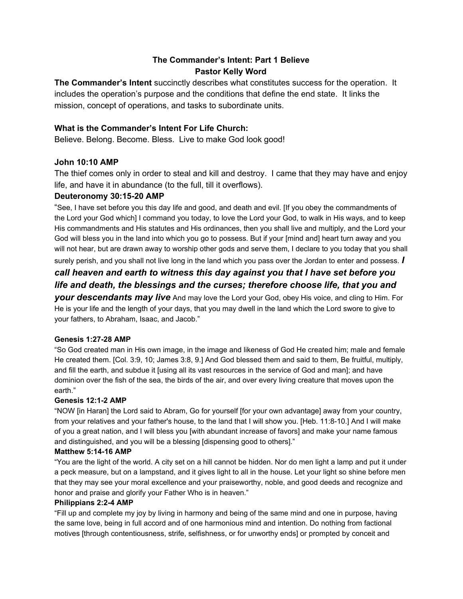## **The Commander's Intent: Part 1 Believe Pastor Kelly Word**

The **Commander's Intent** succinctly describes what constitutes success for the operation. It includes the operation's purpose and the conditions that define the end state. It links the mission, concept of operations, and tasks to subordinate units.

### **What is the Commander's Intent For Life Church:**

Believe. Belong. Become. Bless. Live to make God look good!

### **John 10:10 AMP**

The thief comes only in order to steal and kill and destroy. I came that they may have and enjoy life, and have it in abundance (to the full, till it overflows).

### **Deuteronomy 30:1520 AMP**

"See, I have set before you this day life and good, and death and evil. [If you obey the commandments of the Lord your God which] I command you today, to love the Lord your God, to walk in His ways, and to keep His commandments and His statutes and His ordinances, then you shall live and multiply, and the Lord your God will bless you in the land into which you go to possess. But if your [mind and] heart turn away and you will not hear, but are drawn away to worship other gods and serve them, I declare to you today that you shall surely perish, and you shall not live long in the land which you pass over the Jordan to enter and possess. *I*

# *call heaven and earth to witness this day against you that I have set before you life and death, the blessings and the curses; therefore choose life, that you and*

**your descendants may live** And may love the Lord your God, obey His voice, and cling to Him. For He is your life and the length of your days, that you may dwell in the land which the Lord swore to give to your fathers, to Abraham, Isaac, and Jacob."

### **Genesis 1:2728 AMP**

"So God created man in His own image, in the image and likeness of God He created him; male and female He created them. [Col. 3:9, 10; James 3:8, 9.] And God blessed them and said to them, Be fruitful, multiply, and fill the earth, and subdue it [using all its vast resources in the service of God and man]; and have dominion over the fish of the sea, the birds of the air, and over every living creature that moves upon the earth."

### **Genesis 12:12 AMP**

"NOW [in Haran] the Lord said to Abram, Go for yourself [for your own advantage] away from your country, from your relatives and your father's house, to the land that I will show you. [Heb. 11:8-10.] And I will make of you a great nation, and I will bless you [with abundant increase of favors] and make your name famous and distinguished, and you will be a blessing [dispensing good to others]."

### **Matthew 5:1416 AMP**

"You are the light of the world. A city set on a hill cannot be hidden. Nor do men light a lamp and put it under a peck measure, but on a lampstand, and it gives light to all in the house. Let your light so shine before men that they may see your moral excellence and your praiseworthy, noble, and good deeds and recognize and honor and praise and glorify your Father Who is in heaven."

### **Philippians 2:24 AMP**

"Fill up and complete my joy by living in harmony and being of the same mind and one in purpose, having the same love, being in full accord and of one harmonious mind and intention. Do nothing from factional motives [through contentiousness, strife, selfishness, or for unworthy ends] or prompted by conceit and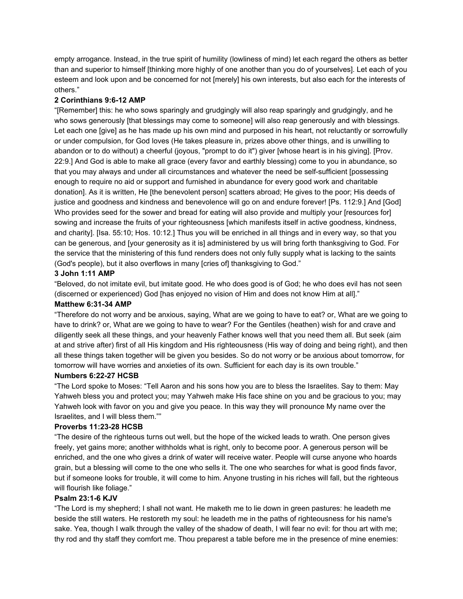empty arrogance. Instead, in the true spirit of humility (lowliness of mind) let each regard the others as better than and superior to himself [thinking more highly of one another than you do of yourselves]. Let each of you esteem and look upon and be concerned for not [merely] his own interests, but also each for the interests of others."

### **2 Corinthians 9:612 AMP**

"[Remember] this: he who sows sparingly and grudgingly will also reap sparingly and grudgingly, and he who sows generously [that blessings may come to someone] will also reap generously and with blessings. Let each one [give] as he has made up his own mind and purposed in his heart, not reluctantly or sorrowfully or under compulsion, for God loves (He takes pleasure in, prizes above other things, and is unwilling to abandon or to do without) a cheerful (joyous, "prompt to do it") giver [whose heart is in his giving]. [Prov. 22:9.] And God is able to make all grace (every favor and earthly blessing) come to you in abundance, so that you may always and under all circumstances and whatever the need be self-sufficient [possessing] enough to require no aid or support and furnished in abundance for every good work and charitable donation]. As it is written, He [the benevolent person] scatters abroad; He gives to the poor; His deeds of justice and goodness and kindness and benevolence will go on and endure forever! [Ps. 112:9.] And [God] Who provides seed for the sower and bread for eating will also provide and multiply your [resources for] sowing and increase the fruits of your righteousness [which manifests itself in active goodness, kindness, and charity]. [Isa. 55:10; Hos. 10:12.] Thus you will be enriched in all things and in every way, so that you can be generous, and [your generosity as it is] administered by us will bring forth thanksgiving to God. For the service that the ministering of this fund renders does not only fully supply what is lacking to the saints (God's people), but it also overflows in many [cries of] thanksgiving to God."

### **3 John 1:11 AMP**

"Beloved, do not imitate evil, but imitate good. He who does good is of God; he who does evil has not seen (discerned or experienced) God [has enjoyed no vision of Him and does not know Him at all]."

### **Matthew 6:3134 AMP**

"Therefore do not worry and be anxious, saying, What are we going to have to eat? or, What are we going to have to drink? or, What are we going to have to wear? For the Gentiles (heathen) wish for and crave and diligently seek all these things, and your heavenly Father knows well that you need them all. But seek (aim at and strive after) first of all His kingdom and His righteousness (His way of doing and being right), and then all these things taken together will be given you besides. So do not worry or be anxious about tomorrow, for tomorrow will have worries and anxieties of its own. Sufficient for each day is its own trouble."

### **Numbers 6:2227 HCSB**

"The Lord spoke to Moses: "Tell Aaron and his sons how you are to bless the Israelites. Say to them: May Yahweh bless you and protect you; may Yahweh make His face shine on you and be gracious to you; may Yahweh look with favor on you and give you peace. In this way they will pronounce My name over the Israelites, and I will bless them.""

### **Proverbs 11:2328 HCSB**

"The desire of the righteous turns out well, but the hope of the wicked leads to wrath. One person gives freely, yet gains more; another withholds what is right, only to become poor. A generous person will be enriched, and the one who gives a drink of water will receive water. People will curse anyone who hoards grain, but a blessing will come to the one who sells it. The one who searches for what is good finds favor, but if someone looks for trouble, it will come to him. Anyone trusting in his riches will fall, but the righteous will flourish like foliage."

### **Psalm 23:16 KJV**

"The Lord is my shepherd; I shall not want. He maketh me to lie down in green pastures: he leadeth me beside the still waters. He restoreth my soul: he leadeth me in the paths of righteousness for his name's sake. Yea, though I walk through the valley of the shadow of death, I will fear no evil: for thou art with me; thy rod and thy staff they comfort me. Thou preparest a table before me in the presence of mine enemies: